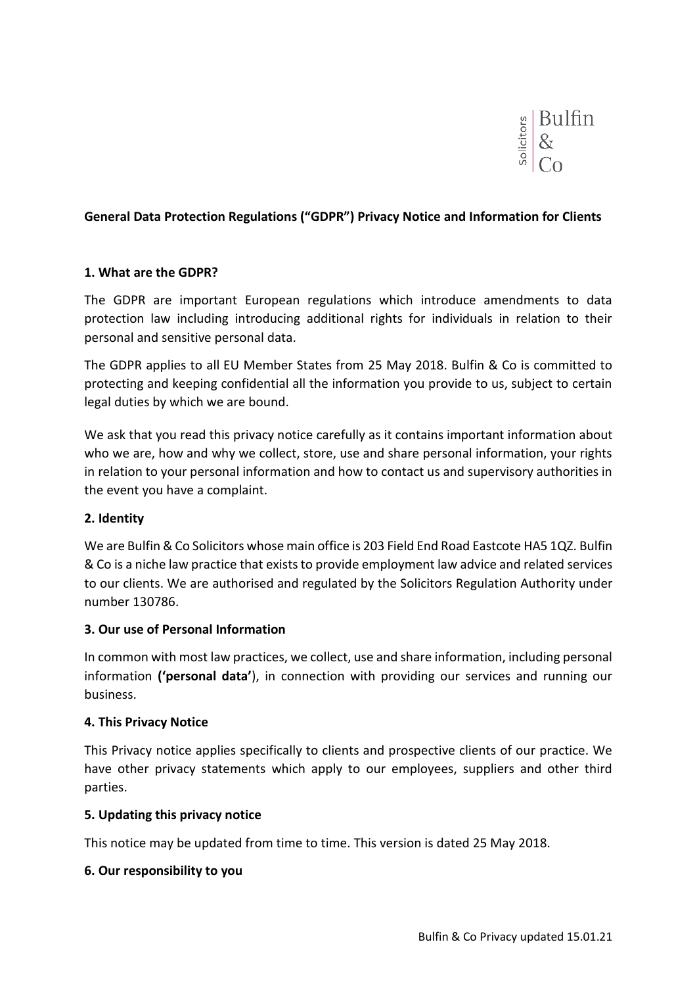

### **General Data Protection Regulations ("GDPR") Privacy Notice and Information for Clients**

#### **1. What are the GDPR?**

The GDPR are important European regulations which introduce amendments to data protection law including introducing additional rights for individuals in relation to their personal and sensitive personal data.

The GDPR applies to all EU Member States from 25 May 2018. Bulfin & Co is committed to protecting and keeping confidential all the information you provide to us, subject to certain legal duties by which we are bound.

We ask that you read this privacy notice carefully as it contains important information about who we are, how and why we collect, store, use and share personal information, your rights in relation to your personal information and how to contact us and supervisory authorities in the event you have a complaint.

### **2. Identity**

We are Bulfin & Co Solicitors whose main office is 203 Field End Road Eastcote HA5 1QZ. Bulfin & Co is a niche law practice that exists to provide employment law advice and related services to our clients. We are authorised and regulated by the Solicitors Regulation Authority under number 130786.

### **3. Our use of Personal Information**

In common with most law practices, we collect, use and share information, including personal information **('personal data'**), in connection with providing our services and running our business.

### **4. This Privacy Notice**

This Privacy notice applies specifically to clients and prospective clients of our practice. We have other privacy statements which apply to our employees, suppliers and other third parties.

### **5. Updating this privacy notice**

This notice may be updated from time to time. This version is dated 25 May 2018.

### **6. Our responsibility to you**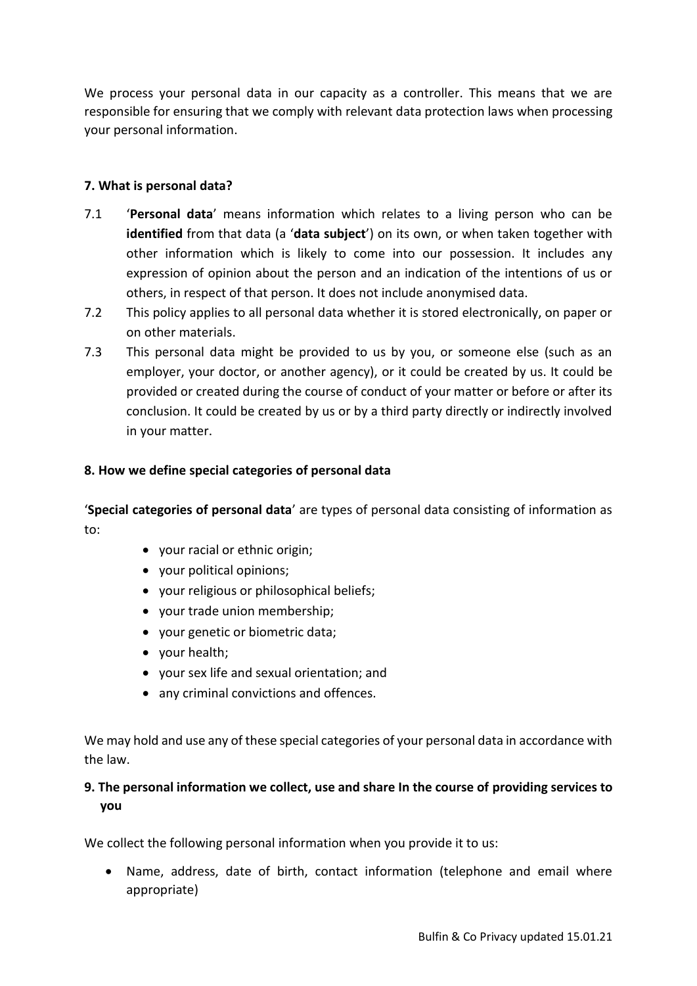We process your personal data in our capacity as a controller. This means that we are responsible for ensuring that we comply with relevant data protection laws when processing your personal information.

# **7. What is personal data?**

- 7.1 '**Personal data**' means information which relates to a living person who can be **identified** from that data (a '**data subject**') on its own, or when taken together with other information which is likely to come into our possession. It includes any expression of opinion about the person and an indication of the intentions of us or others, in respect of that person. It does not include anonymised data.
- 7.2 This policy applies to all personal data whether it is stored electronically, on paper or on other materials.
- 7.3 This personal data might be provided to us by you, or someone else (such as an employer, your doctor, or another agency), or it could be created by us. It could be provided or created during the course of conduct of your matter or before or after its conclusion. It could be created by us or by a third party directly or indirectly involved in your matter.

## **8. How we define special categories of personal data**

'**Special categories of personal data**' are types of personal data consisting of information as to:

- your racial or ethnic origin;
- your political opinions;
- your religious or philosophical beliefs;
- vour trade union membership:
- your genetic or biometric data;
- your health;
- your sex life and sexual orientation; and
- any criminal convictions and offences.

We may hold and use any of these special categories of your personal data in accordance with the law.

# **9. The personal information we collect, use and share In the course of providing services to you**

We collect the following personal information when you provide it to us:

 Name, address, date of birth, contact information (telephone and email where appropriate)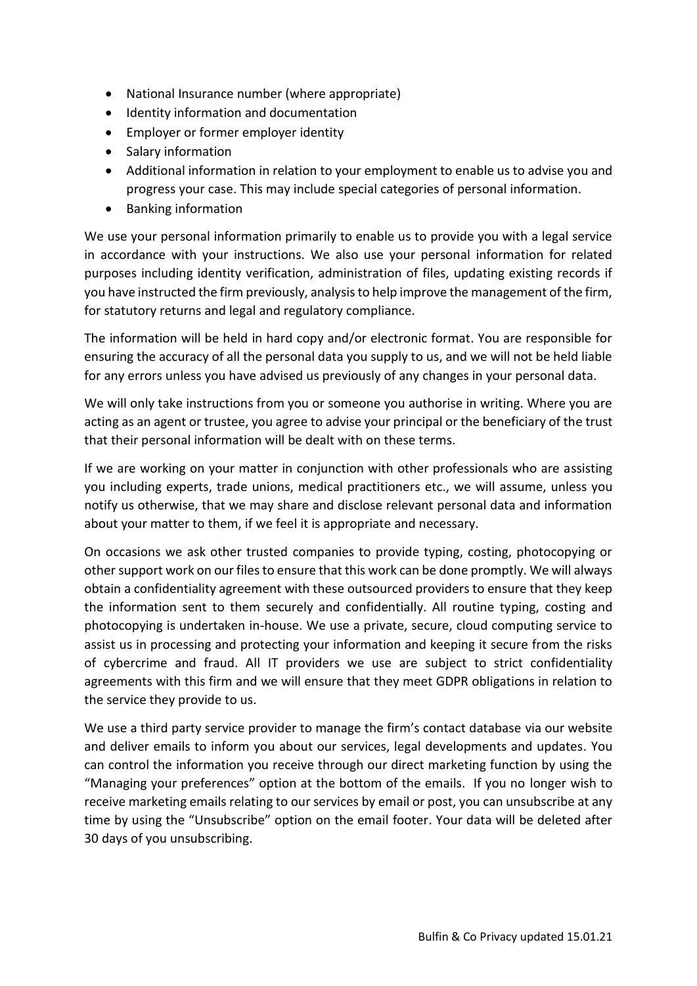- National Insurance number (where appropriate)
- $\bullet$  Identity information and documentation
- Employer or former employer identity
- Salary information
- Additional information in relation to your employment to enable us to advise you and progress your case. This may include special categories of personal information.
- Banking information

We use your personal information primarily to enable us to provide you with a legal service in accordance with your instructions. We also use your personal information for related purposes including identity verification, administration of files, updating existing records if you have instructed the firm previously, analysis to help improve the management of the firm, for statutory returns and legal and regulatory compliance.

The information will be held in hard copy and/or electronic format. You are responsible for ensuring the accuracy of all the personal data you supply to us, and we will not be held liable for any errors unless you have advised us previously of any changes in your personal data.

We will only take instructions from you or someone you authorise in writing. Where you are acting as an agent or trustee, you agree to advise your principal or the beneficiary of the trust that their personal information will be dealt with on these terms.

If we are working on your matter in conjunction with other professionals who are assisting you including experts, trade unions, medical practitioners etc., we will assume, unless you notify us otherwise, that we may share and disclose relevant personal data and information about your matter to them, if we feel it is appropriate and necessary.

On occasions we ask other trusted companies to provide typing, costing, photocopying or other support work on our files to ensure that this work can be done promptly. We will always obtain a confidentiality agreement with these outsourced providers to ensure that they keep the information sent to them securely and confidentially. All routine typing, costing and photocopying is undertaken in-house. We use a private, secure, cloud computing service to assist us in processing and protecting your information and keeping it secure from the risks of cybercrime and fraud. All IT providers we use are subject to strict confidentiality agreements with this firm and we will ensure that they meet GDPR obligations in relation to the service they provide to us.

We use a third party service provider to manage the firm's contact database via our website and deliver emails to inform you about our services, legal developments and updates. You can control the information you receive through our direct marketing function by using the "Managing your preferences" option at the bottom of the emails. If you no longer wish to receive marketing emails relating to our services by email or post, you can unsubscribe at any time by using the "Unsubscribe" option on the email footer. Your data will be deleted after 30 days of you unsubscribing.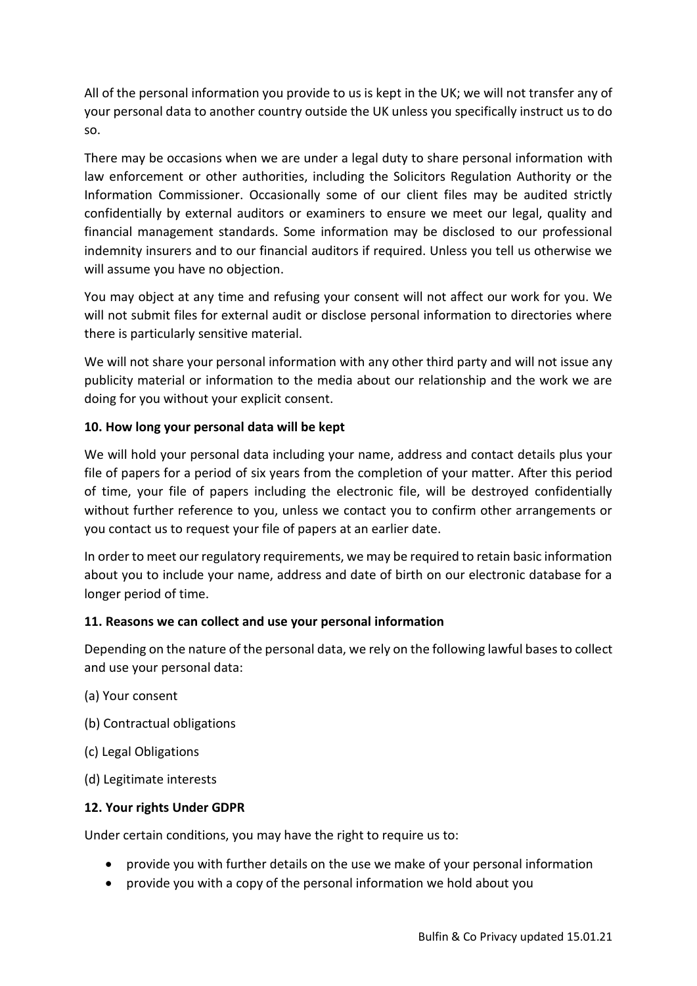All of the personal information you provide to us is kept in the UK; we will not transfer any of your personal data to another country outside the UK unless you specifically instruct us to do so.

There may be occasions when we are under a legal duty to share personal information with law enforcement or other authorities, including the Solicitors Regulation Authority or the Information Commissioner. Occasionally some of our client files may be audited strictly confidentially by external auditors or examiners to ensure we meet our legal, quality and financial management standards. Some information may be disclosed to our professional indemnity insurers and to our financial auditors if required. Unless you tell us otherwise we will assume you have no objection.

You may object at any time and refusing your consent will not affect our work for you. We will not submit files for external audit or disclose personal information to directories where there is particularly sensitive material.

We will not share your personal information with any other third party and will not issue any publicity material or information to the media about our relationship and the work we are doing for you without your explicit consent.

# **10. How long your personal data will be kept**

We will hold your personal data including your name, address and contact details plus your file of papers for a period of six years from the completion of your matter. After this period of time, your file of papers including the electronic file, will be destroyed confidentially without further reference to you, unless we contact you to confirm other arrangements or you contact us to request your file of papers at an earlier date.

In order to meet our regulatory requirements, we may be required to retain basic information about you to include your name, address and date of birth on our electronic database for a longer period of time.

## **11. Reasons we can collect and use your personal information**

Depending on the nature of the personal data, we rely on the following lawful bases to collect and use your personal data:

- (a) Your consent
- (b) Contractual obligations
- (c) Legal Obligations
- (d) Legitimate interests

## **12. Your rights Under GDPR**

Under certain conditions, you may have the right to require us to:

- provide you with further details on the use we make of your personal information
- provide you with a copy of the personal information we hold about you